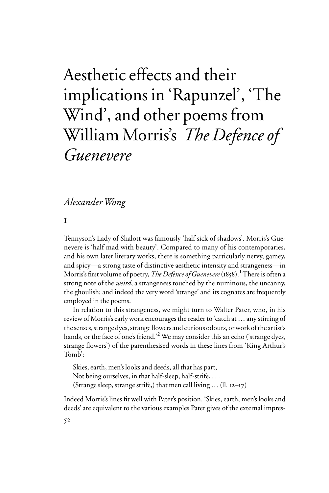# Aesthetic effects and their implications in 'Rapunzel', 'The Wind', and other poems from William Morris's *The Defence of Guenevere*

# *Alexander Wong*

i

Tennyson's Lady of Shalott was famously 'half sick of shadows'. Morris's Guenevere is 'half mad with beauty'. Compared to many of his contemporaries, and his own later literary works, there is something particularly nervy, gamey, and spicy—a strong taste of distinctive aesthetic intensity and strangeness—in Morris's first volume of poetry, *The Defence of Guenevere* (1858).<sup>1</sup> There is often a strong note of the *weird*, a strangeness touched by the numinous, the uncanny, the ghoulish; and indeed the very word 'strange' and its cognates are frequently employed in the poems.

In relation to this strangeness, we might turn to Walter Pater, who, in his review of Morris's early work encourages the reader to 'catch at … any stirring of the senses, strange dyes, strange flowers and curious odours, or work of the artist's hands, or the face of one's friend.'<sup>2</sup> We may consider this an echo ('strange dyes, strange flowers') of the parenthesised words in these lines from 'King Arthur's Tomb':

Skies, earth, men's looks and deeds, all that has part, Not being ourselves, in that half-sleep, half-strife, . . . (Strange sleep, strange strife,) that men call living  $\dots$  (II. 12–17)

Indeed Morris's lines fit well with Pater's position. 'Skies, earth, men's looks and deeds' are equivalent to the various examples Pater gives of the external impres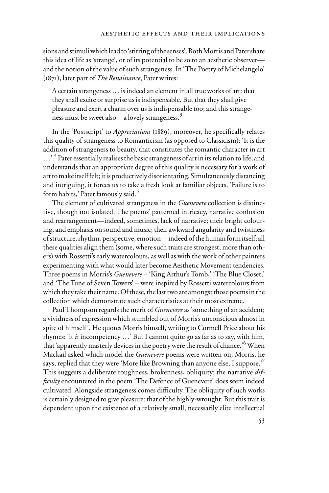sions and stimuli which lead to 'stirring of the senses'. Both Morris and Pater share this idea of life as 'strange', or of its potential to be so to an aesthetic observer and the notion of the value of such strangeness. In 'The Poetry of Michelangelo' (1871), later part of *The Renaissance*, Pater writes:

A certain strangeness … is indeed an element in all true works of art: that they shall excite or surprise us is indispensable. But that they shall give pleasure and exert a charm over us is indispensable too; and this strangeness must be sweet also—a lovely strangeness.<sup>3</sup>

In the 'Postscript' to *Appreciations* (1889), moreover, he specifically relates this quality of strangeness to Romanticism (as opposed to Classicism): 'It is the addition of strangeness to beauty, that constitutes the romantic character in art ...'.<sup>4</sup> Pater essentially realises the basic strangeness of art in its relation to life, and understands that an appropriate degree of this quality is necessary for a work of art to make itself felt; it is productively disorientating. Simultaneously distancing and intriguing, it forces us to take a fresh look at familiar objects. 'Failure is to form habits,' Pater famously said.5

The element of cultivated strangeness in the *Guenevere* collection is distinctive, though not isolated. The poems' patterned intricacy, narrative confusion and rearrangement—indeed, sometimes, lack of narrative; their bright colouring, and emphasis on sound and music; their awkward angularity and twistiness of structure, rhythm, perspective, emotion—indeed of the human form itself; all these qualities align them (some, where such traits are strongest, more than others) with Rossetti's early watercolours, as well as with the work of other painters experimenting with what would later become Aesthetic Movement tendencies. Three poems in Morris's *Guenevere* – 'King Arthur's Tomb,' 'The Blue Closet,' and 'The Tune of Seven Towers' – were inspired by Rossetti watercolours from which they take their name. Of these, the last two are amongst those poems in the collection which demonstrate such characteristics at their most extreme.

Paul Thompson regards the merit of *Guenevere* as 'something of an accident; a vividness of expression which stumbled out of Morris's unconscious almost in spite of himself'. He quotes Morris himself, writing to Cormell Price about his rhymes: 'it *is* incompetency …' But I cannot quite go as far as to say, with him, that 'apparently masterly devices in the poetry were the result of chance.'<sup>6</sup> When Mackail asked which model the *Guenevere* poems were written on, Morris, he says, replied that they were 'More like Browning than anyone else, I suppose.'7 This suggests a deliberate roughness, brokenness, obliquity: the narrative *difficulty* encountered in the poem 'The Defence of Guenevere' does seem indeed cultivated. Alongside strangeness comes difficulty. The obliquity of such works is certainly designed to give pleasure: that of the highly-wrought. But this trait is dependent upon the existence of a relatively small, necessarily elite intellectual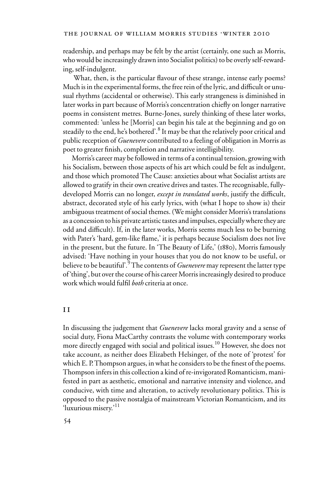readership, and perhaps may be felt by the artist (certainly, one such as Morris, who would be increasingly drawn into Socialist politics) to be overly self-rewarding, self-indulgent.

What, then, is the particular flavour of these strange, intense early poems? Much is in the experimental forms, the free rein of the lyric, and difficult or unusual rhythms (accidental or otherwise). This early strangeness is diminished in later works in part because of Morris's concentration chiefly on longer narrative poems in consistent metres. Burne-Jones, surely thinking of these later works, commented: 'unless he [Morris] can begin his tale at the beginning and go on steadily to the end, he's bothered'.<sup>8</sup> It may be that the relatively poor critical and public reception of *Guenevere* contributed to a feeling of obligation in Morris as poet to greater finish, completion and narrative intelligibility.

Morris's career may be followed in terms of a continual tension, growing with his Socialism, between those aspects of his art which could be felt as indulgent, and those which promoted The Cause: anxieties about what Socialist artists are allowed to gratify in their own creative drives and tastes. The recognisable, fullydeveloped Morris can no longer, *except in translated works*, justify the difficult, abstract, decorated style of his early lyrics, with (what I hope to show is) their ambiguous treatment of social themes. (We might consider Morris's translations as a concession to his private artistic tastes and impulses, especially where they are odd and difficult). If, in the later works, Morris seems much less to be burning with Pater's 'hard, gem-like flame,' it is perhaps because Socialism does not live in the present, but the future. In 'The Beauty of Life,' (1880), Morris famously advised: 'Have nothing in your houses that you do not know to be useful, or believe to be beautiful'*.* 9 The contents of *Guenevere* may represent the latter type of 'thing', but over the course of his career Morris increasingly desired to produce work which would fulfil *both* criteria at once.

# i i

In discussing the judgement that *Guenevere* lacks moral gravity and a sense of social duty, Fiona MacCarthy contrasts the volume with contemporary works more directly engaged with social and political issues.<sup>10</sup> However, she does not take account, as neither does Elizabeth Helsinger, of the note of 'protest' for which E. P. Thompson argues, in what he considers to be the finest of the poems. Thompson infers in this collection a kind of re-invigorated Romanticism, manifested in part as aesthetic, emotional and narrative intensity and violence, and conducive, with time and alteration, to actively revolutionary politics. This is opposed to the passive nostalgia of mainstream Victorian Romanticism, and its 'luxurious misery.'<sup>11</sup>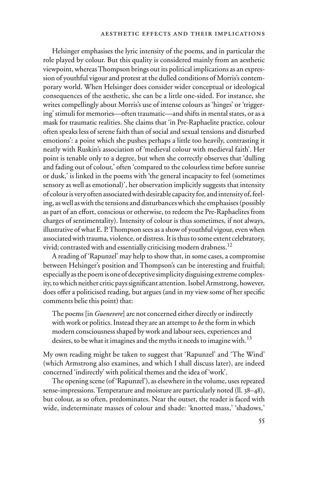#### aesthetic effects and their implications

Helsinger emphasises the lyric intensity of the poems, and in particular the role played by colour. But this quality is considered mainly from an aesthetic viewpoint, whereas Thompson brings out its political implications as an expression of youthful vigour and protest at the dulled conditions of Morris's contemporary world. When Helsinger does consider wider conceptual or ideological consequences of the aesthetic, she can be a little one-sided. For instance, she writes compellingly about Morris's use of intense colours as 'hinges' or 'triggering' stimuli for memories—often traumatic—and shifts in mental states, or as a mask for traumatic realities. She claims that 'in Pre-Raphaelite practice, colour often speaks less of serene faith than of social and sexual tensions and disturbed emotions': a point which she pushes perhaps a little too heavily, contrasting it neatly with Ruskin's association of 'medieval colour with medieval faith'. Her point is tenable only to a degree, but when she correctly observes that 'dulling and fading out of colour,' often 'compared to the colourless time before sunrise or dusk,' is linked in the poems with 'the general incapacity to feel (sometimes sensory as well as emotional)', her observation implicitly suggests that intensity of colour is very often associated with desirable capacity for, and intensity of, feeling, as well as with the tensions and disturbances which she emphasises (possibly as part of an effort, conscious or otherwise, to redeem the Pre-Raphaelites from charges of sentimentality). Intensity of colour is thus sometimes, if not always, illustrative of what E. P. Thompson sees as a show of youthful vigour, even when associated with trauma, violence, or distress. It is thus to some extent celebratory, vivid; contrasted with and essentially criticising modern drabness.<sup>12</sup>

A reading of 'Rapunzel' may help to show that, in some cases, a compromise between Helsinger's position and Thompson's can be interesting and fruitful; especially as the poem is one of deceptive simplicity disguising extreme complexity, to which neither critic pays significant attention. Isobel Armstrong, however, does offer a politicised reading, but argues (and in my view some of her specific comments belie this point) that:

The poems [in *Guenevere*] are not concerned either directly or indirectly with work or politics. Instead they are an attempt to *be* the form in which modern consciousness shaped by work and labour sees, experiences and desires, to be what it imagines and the myths it needs to imagine with.<sup>13</sup>

My own reading might be taken to suggest that 'Rapunzel' and 'The Wind' (which Armstrong also examines, and which I shall discuss later), are indeed concerned 'indirectly' with political themes and the idea of 'work'.

The opening scene (of 'Rapunzel'), as elsewhere in the volume, uses repeated sense-impressions. Temperature and moisture are particularly noted (ll. 38–48), but colour, as so often, predominates. Near the outset, the reader is faced with wide, indeterminate masses of colour and shade: 'knotted mass,' 'shadows,'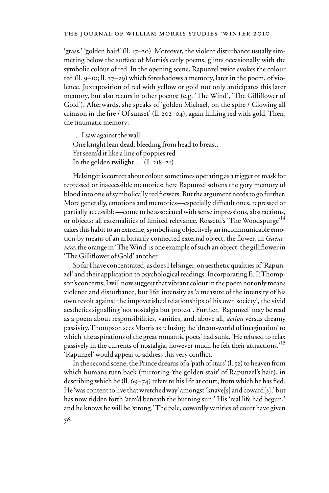'grass,' 'golden hair!' (ll. 17–20). Moreover, the violent disturbance usually simmering below the surface of Morris's early poems, glints occasionally with the symbolic colour of red. In the opening scene, Rapunzel twice evokes the colour red (ll. 9–10; ll. 27–29) which foreshadows a memory, later in the poem, of violence. Juxtaposition of red with yellow or gold not only anticipates this later memory, but also recurs in other poems: (e.g. 'The Wind', 'The Gilliflower of Gold'). Afterwards, she speaks of 'golden Michael, on the spire / Glowing all crimson in the fire / Of sunset' (ll. 202–04), again linking red with gold. Then, the traumatic memory:

… I saw against the wall One knight lean dead, bleeding from head to breast, Yet seem'd it like a line of poppies red In the golden twilight … (ll. 218–21)

Helsinger is correct about colour sometimes operating as a trigger or mask for repressed or inaccessible memories: here Rapunzel softens the gory memory of blood into one of symbolically red flowers. But the argument needs to go further. More generally, emotions and memories—especially difficult ones, repressed or partially accessible—come to be associated with sense impressions, abstractions, or objects: all externalities of limited relevance. Rossetti's 'The Woodspurge'<sup>14</sup> takes this habit to an extreme, symbolising objectively an incommunicable emotion by means of an arbitrarily connected external object, the flower. In *Guenevere*, the orange in 'The Wind' is one example of such an object; the gilliflower in 'The Gilliflower of Gold' another.

So far I have concentrated, as does Helsinger, on aesthetic qualities of 'Rapunzel' and their application to psychological readings. Incorporating E. P. Thompson's concerns, I will now suggest that vibrant colour in the poem not only means violence and disturbance, but life: intensity as 'a measure of the intensity of his own revolt against the impoverished relationships of his own society', the vivid aesthetics signalling 'not nostalgia but protest'. Further, 'Rapunzel' may be read as a poem about responsibilities, vanities, and, above all, *action* versus dreamy passivity. Thompson sees Morris as refusing the 'dream-world of imagination' to which 'the aspirations of the great romantic poets' had sunk. 'He refused to relax passively in the currents of nostalgia, however much he felt their attractions.'<sup>15</sup> 'Rapunzel' would appear to address this very conflict.

In the second scene, the Prince dreams of a 'path of stars' (l. 52) to heaven from which humans turn back (mirroring 'the golden stair' of Rapunzel's hair), in describing which he (ll. 69–74) refers to his life at court, from which he has fled. He 'was content to live that wretched way' amongst 'knave[s] and coward[s],' but has now ridden forth 'arm'd beneath the burning sun.' His 'real life had begun,' and he knows he will be 'strong.' The pale, cowardly vanities of court have given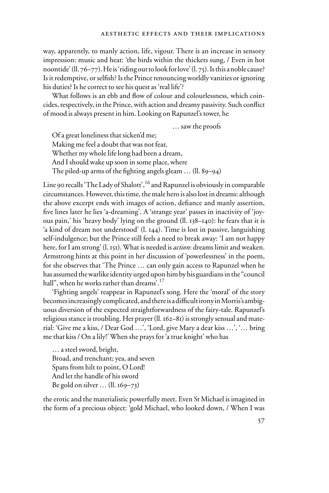way, apparently, to manly action, life, vigour. There is an increase in sensory impression: music and heat: 'the birds within the thickets sung, / Even in hot noontide' (ll. 76–77). He is 'riding out to look for love' (l. 75). Is this a noble cause? Is it redemptive, or selfish? Is the Prince renouncing worldly vanities or ignoring his duties? Is he correct to see his quest as 'real life'?

What follows is an ebb and flow of colour and colourlessness, which coincides, respectively, in the Prince, with action and dreamy passivity. Such conflict of mood is always present in him. Looking on Rapunzel's tower, he

… saw the proofs

Of a great loneliness that sicken'd me; Making me feel a doubt that was not fear, Whether my whole life long had been a dream, And I should wake up soon in some place, where The piled-up arms of the fighting angels gleam  $\ldots$  (ll. 89–94)

Line 90 recalls 'The Lady of Shalott', <sup>16</sup> and Rapunzel is obviously in comparable circumstances. However, this time, the male hero is also lost in dreams: although the above excerpt ends with images of action, defiance and manly assertion, five lines later he lies 'a-dreaming'. A 'strange year' passes in inactivity of 'joyous pain,' his 'heavy body' lying on the ground (ll. 138–140): he fears that it is 'a kind of dream not understood' (l. 144). Time is lost in passive, languishing self-indulgence; but the Prince still feels a need to break away: 'I am not happy here, for I am strong' (l. 151). What is needed is *action*: dreams limit and weaken. Armstrong hints at this point in her discussion of 'powerlessness' in the poem, for she observes that 'The Prince … can only gain access to Rapunzel when he has assumed the warlike identity urged upon him by his guardians in the "council hall", when he works rather than dreams'.<sup>17</sup>

'Fighting angels' reappear in Rapunzel's song. Here the 'moral' of the story becomes increasingly complicated, and there is a difficult irony in Morris's ambiguous diversion of the expected straightforwardness of the fairy-tale. Rapunzel's religious stance is troubling. Her prayer (ll. 162–81) is strongly sensual and material: 'Give me a kiss, / Dear God …', 'Lord, give Mary a dear kiss …', '… bring me that kiss / On a lily!' When she prays for 'a true knight' who has

… a steel sword, bright, Broad, and trenchant; yea, and seven Spans from hilt to point, O Lord! And let the handle of his sword Be gold on silver … (ll. 169–73)

the erotic and the materialistic powerfully meet. Even St Michael is imagined in the form of a precious object: 'gold Michael, who looked down, / When I was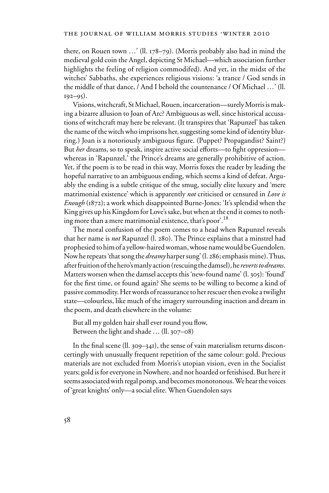there, on Rouen town …' (ll. 178–79). (Morris probably also had in mind the medieval gold coin the Angel, depicting St Michael—which association further highlights the feeling of religion commodifed). And yet, in the midst of the witches' Sabbaths, she experiences religious visions: 'a trance / God sends in the middle of that dance, / And I behold the countenance / Of Michael …' (ll.  $192 - 95$ ).

Visions, witchcraft, St Michael, Rouen, incarceration—surely Morris is making a bizarre allusion to Joan of Arc? Ambiguous as well, since historical accusations of witchcraft may here be relevant. (It transpires that 'Rapunzel' has taken the name of the witch who imprisons her, suggesting some kind of identity blurring.) Joan is a notoriously ambiguous figure. (Puppet? Propagandist? Saint?) But *her* dreams, so to speak, inspire active social efforts—to fight oppression whereas in 'Rapunzel,' the Prince's dreams are generally prohibitive of action. Yet, if the poem is to be read in this way, Morris foxes the reader by leading the hopeful narrative to an ambiguous ending, which seems a kind of defeat. Arguably the ending is a subtle critique of the smug, socially elite luxury and 'mere matrimonial existence' which is apparently *not* criticised or censured in *Love is Enough* (1872); a work which disappointed Burne-Jones: 'It's splendid when the King gives up his Kingdom for Love's sake, but when at the end it comes to nothing more than a mere matrimonial existence, that's poor'.<sup>18</sup>

The moral confusion of the poem comes to a head when Rapunzel reveals that her name is *not* Rapunzel (l. 280). The Prince explains that a minstrel had prophesied to him of a yellow-haired woman, whose name would be Guendolen. Now he repeats 'that song the *dreamy* harper sung' (l. 286; emphasis mine). Thus, after fruition of the hero's manly action (rescuing the damsel), he *reverts to dreams*. Matters worsen when the damsel accepts this 'new-found name' (l. 305): 'found' for the first time, or found again? She seems to be willing to become a kind of passive commodity. Her words of reassurance to her rescuer then evoke a twilight state—colourless, like much of the imagery surrounding inaction and dream in the poem, and death elsewhere in the volume:

But all my golden hair shall ever round you flow, Between the light and shade … (ll. 307–08)

In the final scene (II. 309–341), the sense of vain materialism returns disconcertingly with unusually frequent repetition of the same colour: gold. Precious materials are not excluded from Morris's utopian vision, even in the Socialist years; gold is for everyone in Nowhere, and not hoarded or fetishised. But here it seems associated with regal pomp, and becomes monotonous. We hear the voices of 'great knights' only—a social elite. When Guendolen says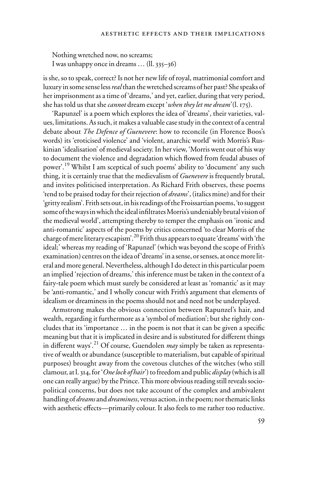Nothing wretched now, no screams; I was unhappy once in dreams … (ll. 335–36)

is she, so to speak, correct? Is not her new life of royal, matrimonial comfort and luxury in some sense less *real* than the wretched screams of her past? She speaks of her imprisonment as a time of 'dreams,' and yet, earlier, during that very period, she has told us that she *cannot* dream except '*when they let me dream'* (l. 175).

'Rapunzel' is a poem which explores the idea of 'dreams', their varieties, values, limitations. As such, it makes a valuable case study in the context of a central debate about *The Defence of Guenevere*: how to reconcile (in Florence Boos's words) its 'eroticised violence' and 'violent, anarchic world' with Morris's Ruskinian 'idealisation' of medieval society. In her view, 'Morris went out of his way to document the violence and degradation which flowed from feudal abuses of power'.19 Whilst I am sceptical of such poems' ability to 'document' any such thing, it is certainly true that the medievalism of *Guenevere* is frequently brutal, and invites politicised interpretation. As Richard Frith observes, these poems 'tend to be praised today for their rejection of *dreams*', (italics mine) and for their 'gritty realism'. Frith sets out, in his readings of the Froissartian poems, 'to suggest some of the ways in which the ideal infiltrates Morris's undeniably brutal vision of the medieval world', attempting thereby to temper the emphasis on 'ironic and anti-romantic' aspects of the poems by critics concerned 'to clear Morris of the charge of mere literary escapism'.20 Frith thus appears to equate 'dreams' with 'the ideal;' whereas my reading of 'Rapunzel' (which was beyond the scope of Frith's examination) centres on the idea of 'dreams' in a sense, or senses, at once more literal and more general. Nevertheless, although I do detect in this particular poem an implied 'rejection of dreams,' this inference must be taken in the context of a fairy-tale poem which must surely be considered at least as 'romantic' as it may be 'anti-romantic,' and I wholly concur with Frith's argument that elements of idealism or dreaminess in the poems should not and need not be underplayed.

Armstrong makes the obvious connection between Rapunzel's hair, and wealth, regarding it furthermore as a 'symbol of mediation'; but she rightly concludes that its 'importance  $\ldots$  in the poem is not that it can be given a specific meaning but that it is implicated in desire and is substituted for different things in different ways'.<sup>21</sup> Of course, Guendolen  $may$  simply be taken as representative of wealth or abundance (susceptible to materialism, but capable of spiritual purposes) brought away from the covetous clutches of the witches (who still clamour, at l. 314, for '*One lock of hair*') to freedom and public *display* (which is all one can really argue) by the Prince. This more obvious reading still reveals sociopolitical concerns, but does not take account of the complex and ambivalent handling of *dreams* and *dreaminess*, versus action, in the poem; nor thematic links with aesthetic effects—primarily colour. It also feels to me rather too reductive.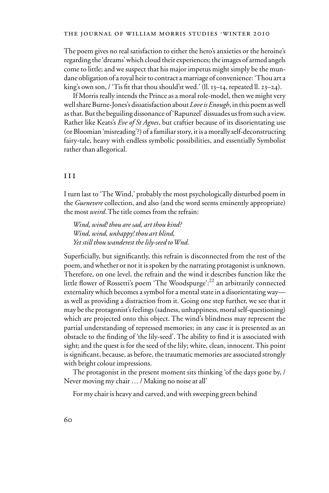The poem gives no real satisfaction to either the hero's anxieties or the heroine's regarding the 'dreams' which cloud their experiences; the images of armed angels come to little; and we suspect that his major impetus might simply be the mundane obligation of a royal heir to contract a marriage of convenience: 'Thou art a king's own son, / 'Tis fit that thou should'st wed.' (ll. 13–14, repeated ll. 23–24).

If Morris really intends the Prince as a moral role-model, then we might very well share Burne-Jones's dissatisfaction about *Love is Enough*, in this poem as well as that. But the beguiling dissonance of 'Rapunzel' dissuades us from such a view. Rather like Keats's *Eve of St Agnes*, but craftier because of its disorientating use (or Bloomian 'misreading'?) of a familiar story, it is a morally self-deconstructing fairy-tale, heavy with endless symbolic possibilities, and essentially Symbolist rather than allegorical.

# iii

I turn last to 'The Wind,' probably the most psychologically disturbed poem in the *Guenevere* collection, and also (and the word seems eminently appropriate) the most *weird*. The title comes from the refrain:

*Wind, wind! thou are sad, art thou kind? Wind, wind, unhappy! thou art blind, Yet still thou wanderest the lily-seed to Wnd.*

Superficially, but significantly, this refrain is disconnected from the rest of the poem, and whether or not it is spoken by the narrating protagonist is unknown. Therefore, on one level, the refrain and the wind it describes function like the little flower of Rossetti's poem 'The Woodspurge':<sup>22</sup> an arbitrarily connected externality which becomes a symbol for a mental state in a disorientating way as well as providing a distraction from it. Going one step further, we see that it may be the protagonist's feelings (sadness, unhappiness, moral self-questioning) which are projected onto this object. The wind's blindness may represent the partial understanding of repressed memories; in any case it is presented as an obstacle to the finding of 'the lily-seed'. The ability to find it is associated with sight; and the quest is for the seed of the lily; white, clean, innocent. This point is significant, because, as before, the traumatic memories are associated strongly with bright colour impressions.

The protagonist in the present moment sits thinking 'of the days gone by, / Never moving my chair … / Making no noise at all'

For my chair is heavy and carved, and with sweeping green behind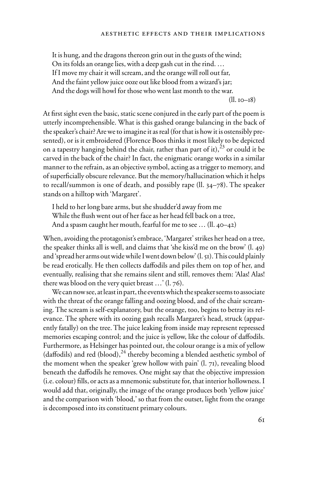It is hung, and the dragons thereon grin out in the gusts of the wind; On its folds an orange lies, with a deep gash cut in the rind. … If I move my chair it will scream, and the orange will roll out far, And the faint yellow juice ooze out like blood from a wizard's jar; And the dogs will howl for those who went last month to the war.

(ll. 10–18)

At first sight even the basic, static scene conjured in the early part of the poem is utterly incomprehensible. What is this gashed orange balancing in the back of the speaker's chair? Are we to imagine it as real (for that is how it is ostensibly presented), or is it embroidered (Florence Boos thinks it most likely to be depicted on a tapestry hanging behind the chair, rather than part of it), $23$  or could it be carved in the back of the chair? In fact, the enigmatic orange works in a similar manner to the refrain, as an objective symbol, acting as a trigger to memory, and of superficially obscure relevance. But the memory/hallucination which it helps to recall/summon is one of death, and possibly rape (ll. 34–78). The speaker stands on a hilltop with 'Margaret'.

I held to her long bare arms, but she shudder'd away from me While the flush went out of her face as her head fell back on a tree, And a spasm caught her mouth, fearful for me to see … (ll. 40–42)

When, avoiding the protagonist's embrace, 'Margaret' strikes her head on a tree, the speaker thinks all is well, and claims that 'she kiss'd me on the brow' (l. 49) and 'spread her arms out wide while I went down below' (l. 51). This could plainly be read erotically. He then collects daffodils and piles them on top of her, and eventually, realising that she remains silent and still, removes them: 'Alas! Alas! there was blood on the very quiet breast …' (l. 76).

We can now see, at least in part, the events which the speaker seems to associate with the threat of the orange falling and oozing blood, and of the chair screaming. The scream is self-explanatory, but the orange, too, begins to betray its relevance. The sphere with its oozing gash recalls Margaret's head, struck (apparently fatally) on the tree. The juice leaking from inside may represent repressed memories escaping control; and the juice is yellow, like the colour of daffodils. Furthermore, as Helsinger has pointed out, the colour orange is a mix of yellow (daffodils) and red (blood), $^{24}$  thereby becoming a blended aesthetic symbol of the moment when the speaker 'grew hollow with pain' (l. 71), revealing blood beneath the daffodils he removes. One might say that the objective impression  $(i.e. colour)$  fills, or acts as a mnemonic substitute for, that interior hollowness. I would add that, originally, the image of the orange produces both 'yellow juice' and the comparison with 'blood,' so that from the outset, light from the orange is decomposed into its constituent primary colours.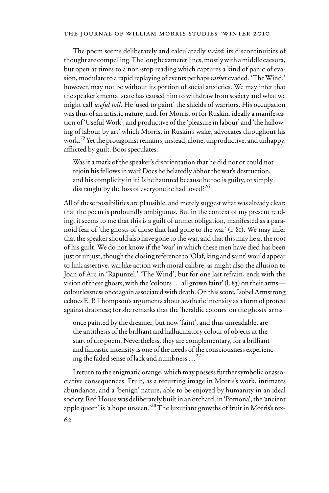The poem seems deliberately and calculatedly *weird*; its discontinuities of thought are compelling. The long hexameter lines, mostly with a middle caesura, but open at times to a non-stop reading which captures a kind of panic of evasion, modulate to a rapid replaying of events perhaps *rather* evaded. 'The Wind,' however, may not be without its portion of social anxieties. We may infer that the speaker's mental state has caused him to withdraw from society and what we might call *useful toil*. He 'used to paint' the shields of warriors. His occupation was thus of an artistic nature, and, for Morris, or for Ruskin, ideally a manifestation of 'Useful Work', and productive of the 'pleasure in labour' and 'the hallowing of labour by art' which Morris, in Ruskin's wake, advocates throughout his work.<sup>25</sup> Yet the protagonist remains, instead, alone, unproductive, and unhappy, afflicted by guilt. Boos speculates:

Was it a mark of the speaker's disorientation that he did not or could not rejoin his fellows in war? Does he belatedly abhor the war's destruction, and his complicity in it? Is he haunted because he too is guilty, or simply distraught by the loss of everyone he had loved?<sup>26</sup>

All of these possibilities are plausible, and merely suggest what was already clear: that the poem is profoundly ambiguous. But in the context of my present reading, it seems to me that this is a guilt of unmet obligation, manifested as a paranoid fear of 'the ghosts of those that had gone to the war' (l. 81). We may infer that the speaker should also have gone to the war, and that this may lie at the root of his guilt. We do not know if the 'war' in which these men have died has been just or unjust, though the closing reference to 'Olaf, king and saint' would appear to link assertive, warlike action with moral calibre, as might also the allusion to Joan of Arc in 'Rapunzel.' 'The Wind', but for one last refrain, ends with the vision of these ghosts, with the 'colours … all grown faint' (l. 83) on their arms colourlessness once again associated with death. On this score, Isobel Armstrong echoes E. P. Thompson's arguments about aesthetic intensity as a form of protest against drabness; for she remarks that the 'heraldic colours' on the ghosts' arms

once painted by the dreamer, but now 'faint', and thus unreadable, are the antithesis of the brilliant and hallucinatory colour of objects at the start of the poem. Nevertheless, they are complementary, for a brilliant and fantastic intensity is one of the needs of the consciousness experiencing the faded sense of lack and numbness  $\ldots^{27}$ 

I return to the enigmatic orange, which may possess further symbolic or associative consequences. Fruit, as a recurring image in Morris's work, intimates abundance, and a 'benign' nature, able to be enjoyed by humanity in an ideal society. Red House was deliberately built in an orchard; in 'Pomona', the 'ancient apple queen' is 'a hope unseen.'<sup>28</sup> The luxuriant growths of fruit in Morris's tex-62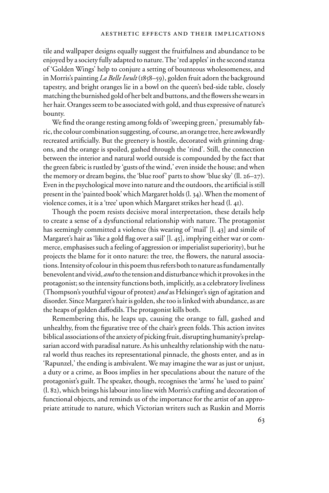tile and wallpaper designs equally suggest the fruitfulness and abundance to be enjoyed by a society fully adapted to nature. The 'red apples' in the second stanza of 'Golden Wings' help to conjure a setting of bounteous wholesomeness, and in Morris's painting *La Belle Iseult* (1858–59), golden fruit adorn the background tapestry, and bright oranges lie in a bowl on the queen's bed-side table, closely matching the burnished gold of her belt and buttons, and the flowers she wears in her hair. Oranges seem to be associated with gold, and thus expressive of nature's bounty.

We find the orange resting among folds of 'sweeping green,' presumably fabric, the colour combination suggesting, of course, an orange tree, here awkwardly recreated artificially. But the greenery is hostile, decorated with grinning dragons, and the orange is spoiled, gashed through the 'rind'. Still, the connection between the interior and natural world outside is compounded by the fact that the green fabric is rustled by 'gusts of the wind,' even inside the house; and when the memory or dream begins, the 'blue roof' parts to show 'blue sky' (ll. 26–27). Even in the psychological move into nature and the outdoors, the artificial is still present in the 'painted book' which Margaret holds (l. 34). When the moment of violence comes, it is a 'tree' upon which Margaret strikes her head (l. 41).

Though the poem resists decisive moral interpretation, these details help to create a sense of a dysfunctional relationship with nature. The protagonist has seemingly committed a violence (his wearing of 'mail' [l. 43] and simile of Margaret's hair as 'like a gold flag over a sail'  $[1, 45]$ , implying either war or commerce, emphasises such a feeling of aggression or imperialist superiority), but he projects the blame for it onto nature: the tree, the flowers, the natural associations. Intensity of colour in this poem thus refers both to nature as fundamentally benevolent and vivid, *and* to the tension and disturbance which it provokes in the protagonist; so the intensity functions both, implicitly, as a celebratory liveliness (Thompson's youthful vigour of protest) *and* as Helsinger's sign of agitation and disorder. Since Margaret's hair is golden, she too is linked with abundance, as are the heaps of golden daffodils. The protagonist kills both.

Remembering this, he leaps up, causing the orange to fall, gashed and unhealthy, from the figurative tree of the chair's green folds. This action invites biblical associations of the anxiety of picking fruit, disrupting humanity's prelapsarian accord with paradisal nature. As his unhealthy relationship with the natural world thus reaches its representational pinnacle, the ghosts enter, and as in 'Rapunzel,' the ending is ambivalent. We may imagine the war as just or unjust, a duty or a crime, as Boos implies in her speculations about the nature of the protagonist's guilt. The speaker, though, recognises the 'arms' he 'used to paint' (l. 82), which brings his labour into line with Morris's crafting and decoration of functional objects, and reminds us of the importance for the artist of an appropriate attitude to nature, which Victorian writers such as Ruskin and Morris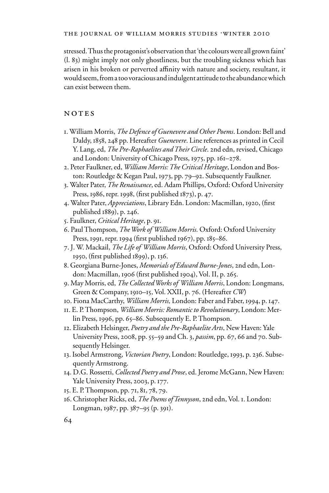stressed. Thus the protagonist's observation that 'the colours were all grown faint' (l. 83) might imply not only ghostliness, but the troubling sickness which has arisen in his broken or perverted affinity with nature and society, resultant, it would seem, from a too voracious and indulgent attitude to the abundance which can exist between them.

# NOTES

- 1. William Morris, *The Defence of Guenevere and Other Poems*. London: Bell and Daldy, 1858, 248 pp. Hereafter *Guenevere*. Line references as printed in Cecil Y. Lang, ed, *The Pre-Raphaelites and Their Circle*. 2nd edn, revised, Chicago and London: University of Chicago Press, 1975, pp. 161–278.
- 2. Peter Faulkner, ed, *William Morris: The Critical Heritage*, London and Boston: Routledge & Kegan Paul, 1973, pp. 79–92. Subsequently Faulkner.
- 3. Walter Pater, *The Renaissance*, ed. Adam Phillips, Oxford: Oxford University Press, 1986, repr. 1998, (first published 1873), p. 47.
- 4. Walter Pater, *Appreciations*, Library Edn. London: Macmillan, 1920, (first published 1889), p. 246.
- 5. Faulkner, *Critical Heritage*, p. 91.
- 6. Paul Thompson, *The Work of William Morris.* Oxford: Oxford University Press, 1991, repr. 1994 (first published 1967), pp. 185–86.
- 7. J. W. Mackail, *The Life of William Morris*, Oxford: Oxford University Press, 1950, (first published 1899), p. 136.
- 8. Georgiana Burne-Jones, *Memorials of Edward Burne-Jones*, 2nd edn, London: Macmillan, 1906 (first published 1904), Vol. II, p. 265.
- 9. May Morris, ed, *The Collected Works of William Morris*, London: Longmans, Green & Company, 1910–15, Vol. XXII, p. 76. (Hereafter *CW*)
- 10. Fiona MacCarthy, *William Morris,* London: Faber and Faber, 1994, p. 147.
- 11. E. P. Thompson, *William Morris: Romantic to Revolutionary*, London: Merlin Press, 1996, pp. 65–86. Subsequently E. P. Thompson.
- 12. Elizabeth Helsinger, *Poetry and the Pre-Raphaelite Arts*, New Haven: Yale University Press, 2008, pp. 55–59 and Ch. 3, *passim*, pp. 67, 66 and 70. Subsequently Helsinger.
- 13. Isobel Armstrong, *Victorian Poetry*, London: Routledge, 1993, p. 236. Subsequently Armstrong.
- 14. D.G. Rossetti, *Collected Poetry and Prose*, ed. Jerome McGann, New Haven: Yale University Press, 2003, p. 177.
- 15. E. P. Thompson, pp. 71, 81, 78, 79.
- 16. Christopher Ricks, ed, *The Poems of Tennyson*, 2nd edn, Vol. 1. London: Longman, 1987, pp. 387–95 (p. 391).